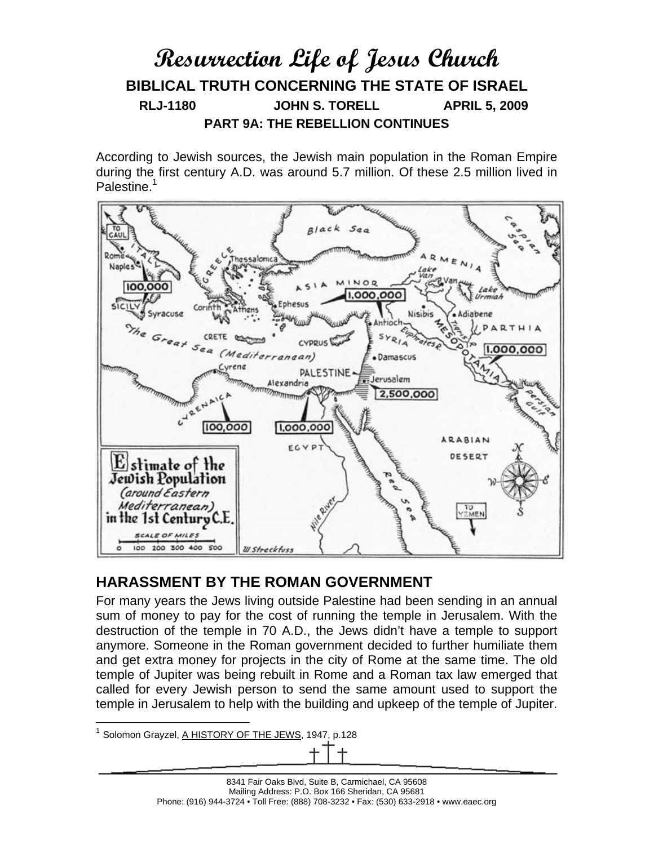# **Resurrection Life of Jesus Church BIBLICAL TRUTH CONCERNING THE STATE OF ISRAEL RLJ-1180 JOHN S. TORELL APRIL 5, 2009 PART 9A: THE REBELLION CONTINUES**

According to Jewish sources, the Jewish main population in the Roman Empire during the first century A.D. was around 5.7 million. Of these 2.5 million lived in Palestine.<sup>1</sup>



### **HARASSMENT BY THE ROMAN GOVERNMENT**

For many years the Jews living outside Palestine had been sending in an annual sum of money to pay for the cost of running the temple in Jerusalem. With the destruction of the temple in 70 A.D., the Jews didn't have a temple to support anymore. Someone in the Roman government decided to further humiliate them and get extra money for projects in the city of Rome at the same time. The old temple of Jupiter was being rebuilt in Rome and a Roman tax law emerged that called for every Jewish person to send the same amount used to support the temple in Jerusalem to help with the building and upkeep of the temple of Jupiter.

<sup>1</sup> Solomon Grayzel, A HISTORY OF THE JEWS, 1947, p.128

 $\overline{a}$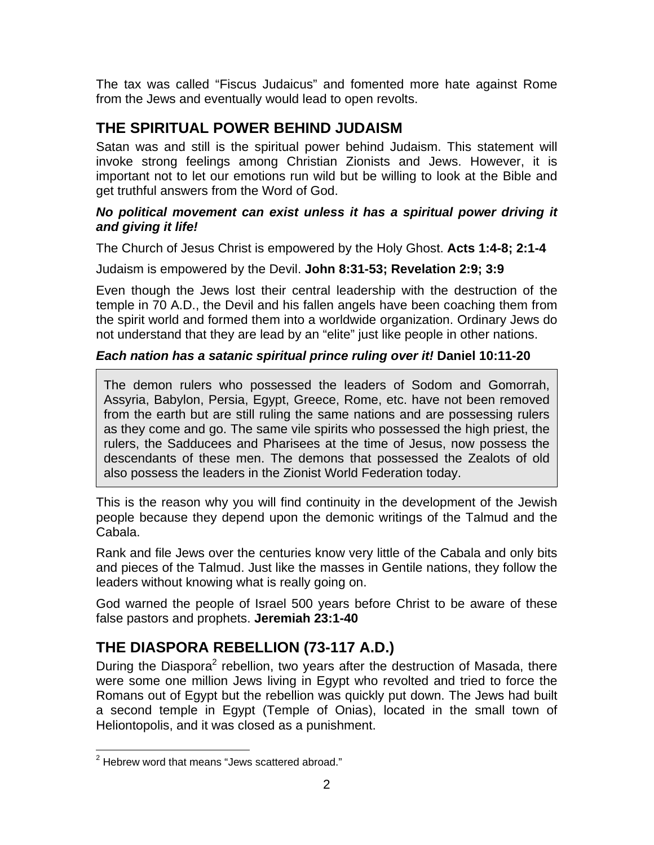The tax was called "Fiscus Judaicus" and fomented more hate against Rome from the Jews and eventually would lead to open revolts.

## **THE SPIRITUAL POWER BEHIND JUDAISM**

Satan was and still is the spiritual power behind Judaism. This statement will invoke strong feelings among Christian Zionists and Jews. However, it is important not to let our emotions run wild but be willing to look at the Bible and get truthful answers from the Word of God.

#### *No political movement can exist unless it has a spiritual power driving it and giving it life!*

The Church of Jesus Christ is empowered by the Holy Ghost. **Acts 1:4-8; 2:1-4** 

Judaism is empowered by the Devil. **John 8:31-53; Revelation 2:9; 3:9** 

Even though the Jews lost their central leadership with the destruction of the temple in 70 A.D., the Devil and his fallen angels have been coaching them from the spirit world and formed them into a worldwide organization. Ordinary Jews do not understand that they are lead by an "elite" just like people in other nations.

#### *Each nation has a satanic spiritual prince ruling over it!* **Daniel 10:11-20**

The demon rulers who possessed the leaders of Sodom and Gomorrah, Assyria, Babylon, Persia, Egypt, Greece, Rome, etc. have not been removed from the earth but are still ruling the same nations and are possessing rulers as they come and go. The same vile spirits who possessed the high priest, the rulers, the Sadducees and Pharisees at the time of Jesus, now possess the descendants of these men. The demons that possessed the Zealots of old also possess the leaders in the Zionist World Federation today.

This is the reason why you will find continuity in the development of the Jewish people because they depend upon the demonic writings of the Talmud and the Cabala.

Rank and file Jews over the centuries know very little of the Cabala and only bits and pieces of the Talmud. Just like the masses in Gentile nations, they follow the leaders without knowing what is really going on.

God warned the people of Israel 500 years before Christ to be aware of these false pastors and prophets. **Jeremiah 23:1-40**

## **THE DIASPORA REBELLION (73-117 A.D.)**

During the Diaspora<sup>2</sup> rebellion, two years after the destruction of Masada, there were some one million Jews living in Egypt who revolted and tried to force the Romans out of Egypt but the rebellion was quickly put down. The Jews had built a second temple in Egypt (Temple of Onias), located in the small town of Heliontopolis, and it was closed as a punishment.

 2 Hebrew word that means "Jews scattered abroad."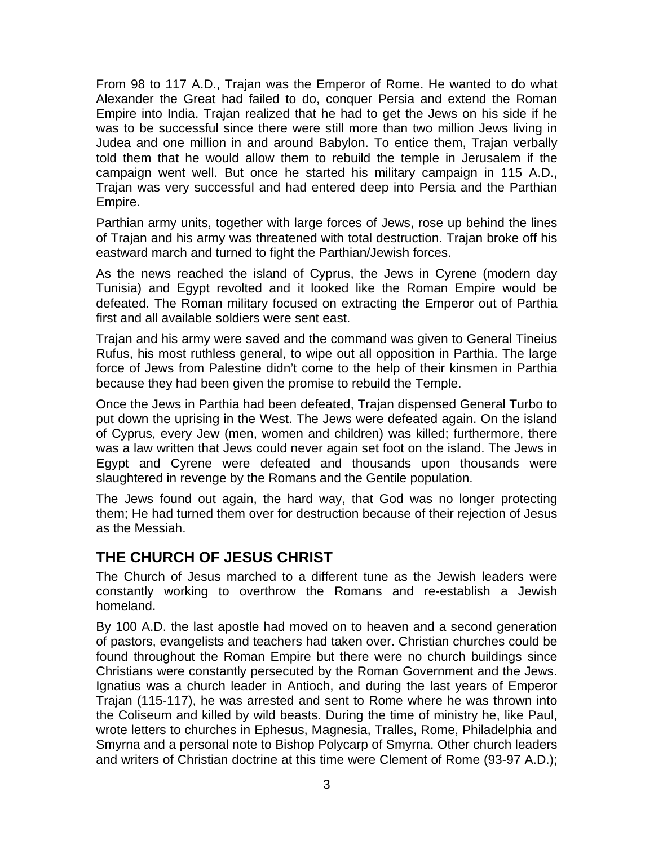From 98 to 117 A.D., Trajan was the Emperor of Rome. He wanted to do what Alexander the Great had failed to do, conquer Persia and extend the Roman Empire into India. Trajan realized that he had to get the Jews on his side if he was to be successful since there were still more than two million Jews living in Judea and one million in and around Babylon. To entice them, Trajan verbally told them that he would allow them to rebuild the temple in Jerusalem if the campaign went well. But once he started his military campaign in 115 A.D., Trajan was very successful and had entered deep into Persia and the Parthian Empire.

Parthian army units, together with large forces of Jews, rose up behind the lines of Trajan and his army was threatened with total destruction. Trajan broke off his eastward march and turned to fight the Parthian/Jewish forces.

As the news reached the island of Cyprus, the Jews in Cyrene (modern day Tunisia) and Egypt revolted and it looked like the Roman Empire would be defeated. The Roman military focused on extracting the Emperor out of Parthia first and all available soldiers were sent east.

Trajan and his army were saved and the command was given to General Tineius Rufus, his most ruthless general, to wipe out all opposition in Parthia. The large force of Jews from Palestine didn't come to the help of their kinsmen in Parthia because they had been given the promise to rebuild the Temple.

Once the Jews in Parthia had been defeated, Trajan dispensed General Turbo to put down the uprising in the West. The Jews were defeated again. On the island of Cyprus, every Jew (men, women and children) was killed; furthermore, there was a law written that Jews could never again set foot on the island. The Jews in Egypt and Cyrene were defeated and thousands upon thousands were slaughtered in revenge by the Romans and the Gentile population.

The Jews found out again, the hard way, that God was no longer protecting them; He had turned them over for destruction because of their rejection of Jesus as the Messiah.

## **THE CHURCH OF JESUS CHRIST**

The Church of Jesus marched to a different tune as the Jewish leaders were constantly working to overthrow the Romans and re-establish a Jewish homeland.

By 100 A.D. the last apostle had moved on to heaven and a second generation of pastors, evangelists and teachers had taken over. Christian churches could be found throughout the Roman Empire but there were no church buildings since Christians were constantly persecuted by the Roman Government and the Jews. Ignatius was a church leader in Antioch, and during the last years of Emperor Trajan (115-117), he was arrested and sent to Rome where he was thrown into the Coliseum and killed by wild beasts. During the time of ministry he, like Paul, wrote letters to churches in Ephesus, Magnesia, Tralles, Rome, Philadelphia and Smyrna and a personal note to Bishop Polycarp of Smyrna. Other church leaders and writers of Christian doctrine at this time were Clement of Rome (93-97 A.D.);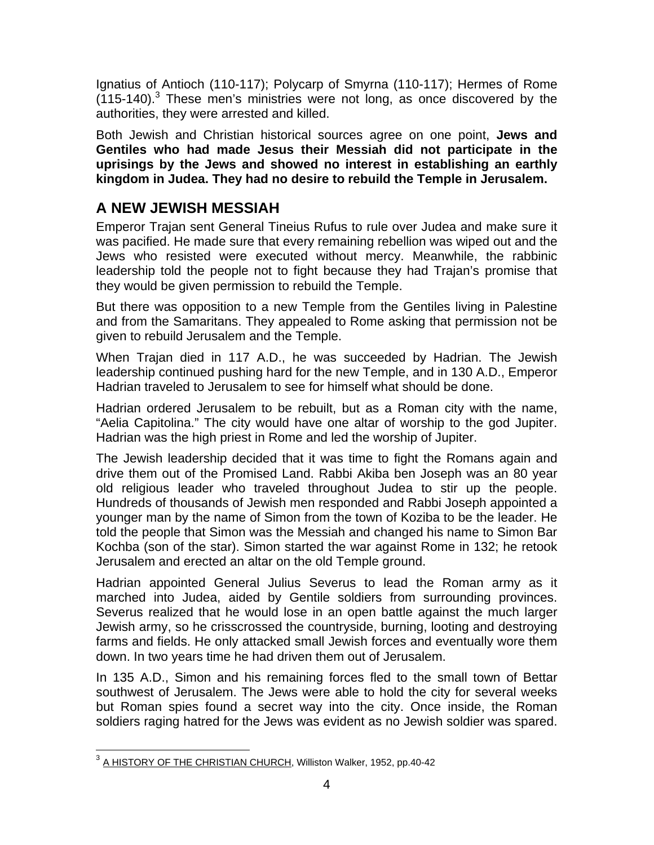Ignatius of Antioch (110-117); Polycarp of Smyrna (110-117); Hermes of Rome  $(115-140).$ <sup>3</sup> These men's ministries were not long, as once discovered by the authorities, they were arrested and killed.

Both Jewish and Christian historical sources agree on one point, **Jews and Gentiles who had made Jesus their Messiah did not participate in the uprisings by the Jews and showed no interest in establishing an earthly kingdom in Judea. They had no desire to rebuild the Temple in Jerusalem.**

## **A NEW JEWISH MESSIAH**

Emperor Trajan sent General Tineius Rufus to rule over Judea and make sure it was pacified. He made sure that every remaining rebellion was wiped out and the Jews who resisted were executed without mercy. Meanwhile, the rabbinic leadership told the people not to fight because they had Trajan's promise that they would be given permission to rebuild the Temple.

But there was opposition to a new Temple from the Gentiles living in Palestine and from the Samaritans. They appealed to Rome asking that permission not be given to rebuild Jerusalem and the Temple.

When Trajan died in 117 A.D., he was succeeded by Hadrian. The Jewish leadership continued pushing hard for the new Temple, and in 130 A.D., Emperor Hadrian traveled to Jerusalem to see for himself what should be done.

Hadrian ordered Jerusalem to be rebuilt, but as a Roman city with the name, "Aelia Capitolina." The city would have one altar of worship to the god Jupiter. Hadrian was the high priest in Rome and led the worship of Jupiter.

The Jewish leadership decided that it was time to fight the Romans again and drive them out of the Promised Land. Rabbi Akiba ben Joseph was an 80 year old religious leader who traveled throughout Judea to stir up the people. Hundreds of thousands of Jewish men responded and Rabbi Joseph appointed a younger man by the name of Simon from the town of Koziba to be the leader. He told the people that Simon was the Messiah and changed his name to Simon Bar Kochba (son of the star). Simon started the war against Rome in 132; he retook Jerusalem and erected an altar on the old Temple ground.

Hadrian appointed General Julius Severus to lead the Roman army as it marched into Judea, aided by Gentile soldiers from surrounding provinces. Severus realized that he would lose in an open battle against the much larger Jewish army, so he crisscrossed the countryside, burning, looting and destroying farms and fields. He only attacked small Jewish forces and eventually wore them down. In two years time he had driven them out of Jerusalem.

In 135 A.D., Simon and his remaining forces fled to the small town of Bettar southwest of Jerusalem. The Jews were able to hold the city for several weeks but Roman spies found a secret way into the city. Once inside, the Roman soldiers raging hatred for the Jews was evident as no Jewish soldier was spared.

<sup>1</sup> <sup>3</sup> A HISTORY OF THE CHRISTIAN CHURCH, Williston Walker, 1952, pp.40-42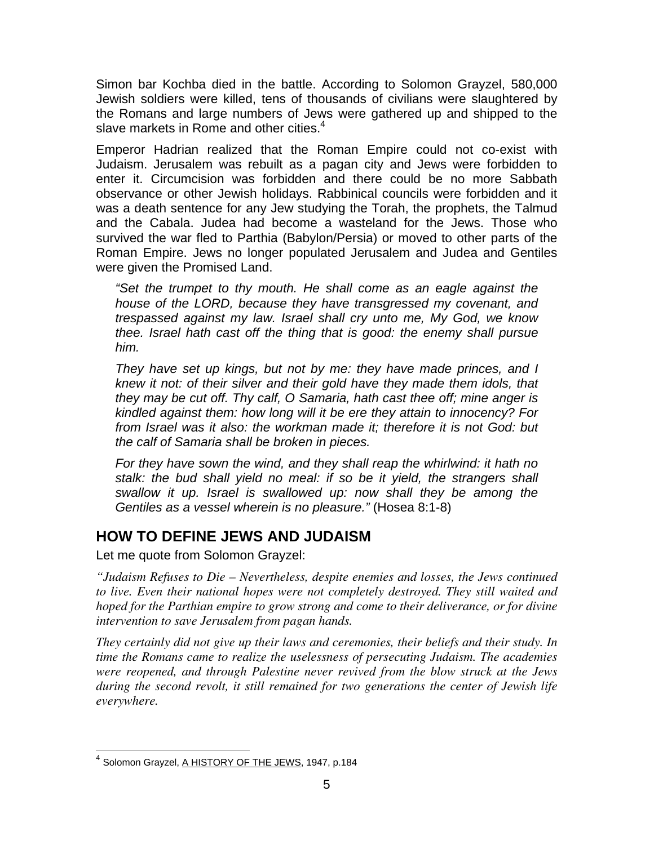Simon bar Kochba died in the battle. According to Solomon Grayzel, 580,000 Jewish soldiers were killed, tens of thousands of civilians were slaughtered by the Romans and large numbers of Jews were gathered up and shipped to the slave markets in Rome and other cities. $4$ 

Emperor Hadrian realized that the Roman Empire could not co-exist with Judaism. Jerusalem was rebuilt as a pagan city and Jews were forbidden to enter it. Circumcision was forbidden and there could be no more Sabbath observance or other Jewish holidays. Rabbinical councils were forbidden and it was a death sentence for any Jew studying the Torah, the prophets, the Talmud and the Cabala. Judea had become a wasteland for the Jews. Those who survived the war fled to Parthia (Babylon/Persia) or moved to other parts of the Roman Empire. Jews no longer populated Jerusalem and Judea and Gentiles were given the Promised Land.

*"Set the trumpet to thy mouth. He shall come as an eagle against the house of the LORD, because they have transgressed my covenant, and trespassed against my law. Israel shall cry unto me, My God, we know thee. Israel hath cast off the thing that is good: the enemy shall pursue him.* 

*They have set up kings, but not by me: they have made princes, and I knew it not: of their silver and their gold have they made them idols, that they may be cut off. Thy calf, O Samaria, hath cast thee off; mine anger is kindled against them: how long will it be ere they attain to innocency? For from Israel was it also: the workman made it; therefore it is not God: but the calf of Samaria shall be broken in pieces.* 

*For they have sown the wind, and they shall reap the whirlwind: it hath no stalk: the bud shall yield no meal: if so be it yield, the strangers shall swallow it up. Israel is swallowed up: now shall they be among the Gentiles as a vessel wherein is no pleasure."* (Hosea 8:1-8)

### **HOW TO DEFINE JEWS AND JUDAISM**

Let me quote from Solomon Grayzel:

*"Judaism Refuses to Die – Nevertheless, despite enemies and losses, the Jews continued to live. Even their national hopes were not completely destroyed. They still waited and hoped for the Parthian empire to grow strong and come to their deliverance, or for divine intervention to save Jerusalem from pagan hands.* 

*They certainly did not give up their laws and ceremonies, their beliefs and their study. In time the Romans came to realize the uselessness of persecuting Judaism. The academies were reopened, and through Palestine never revived from the blow struck at the Jews during the second revolt, it still remained for two generations the center of Jewish life everywhere.* 

 $\overline{a}$ <sup>4</sup> Solomon Grayzel, A HISTORY OF THE JEWS, 1947, p.184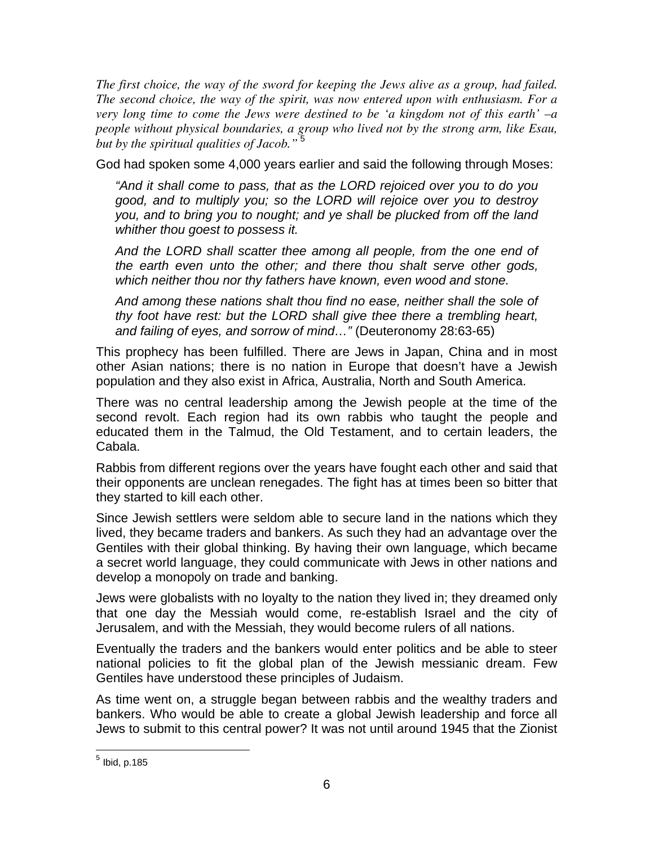*The first choice, the way of the sword for keeping the Jews alive as a group, had failed. The second choice, the way of the spirit, was now entered upon with enthusiasm. For a very long time to come the Jews were destined to be 'a kingdom not of this earth' –a people without physical boundaries, a group who lived not by the strong arm, like Esau, but by the spiritual qualities of Jacob."*<sup>5</sup>

God had spoken some 4,000 years earlier and said the following through Moses:

*"And it shall come to pass, that as the LORD rejoiced over you to do you good, and to multiply you; so the LORD will rejoice over you to destroy you, and to bring you to nought; and ye shall be plucked from off the land whither thou goest to possess it.* 

*And the LORD shall scatter thee among all people, from the one end of the earth even unto the other; and there thou shalt serve other gods, which neither thou nor thy fathers have known, even wood and stone.* 

*And among these nations shalt thou find no ease, neither shall the sole of thy foot have rest: but the LORD shall give thee there a trembling heart, and failing of eyes, and sorrow of mind…"* (Deuteronomy 28:63-65)

This prophecy has been fulfilled. There are Jews in Japan, China and in most other Asian nations; there is no nation in Europe that doesn't have a Jewish population and they also exist in Africa, Australia, North and South America.

There was no central leadership among the Jewish people at the time of the second revolt. Each region had its own rabbis who taught the people and educated them in the Talmud, the Old Testament, and to certain leaders, the Cabala.

Rabbis from different regions over the years have fought each other and said that their opponents are unclean renegades. The fight has at times been so bitter that they started to kill each other.

Since Jewish settlers were seldom able to secure land in the nations which they lived, they became traders and bankers. As such they had an advantage over the Gentiles with their global thinking. By having their own language, which became a secret world language, they could communicate with Jews in other nations and develop a monopoly on trade and banking.

Jews were globalists with no loyalty to the nation they lived in; they dreamed only that one day the Messiah would come, re-establish Israel and the city of Jerusalem, and with the Messiah, they would become rulers of all nations.

Eventually the traders and the bankers would enter politics and be able to steer national policies to fit the global plan of the Jewish messianic dream. Few Gentiles have understood these principles of Judaism.

As time went on, a struggle began between rabbis and the wealthy traders and bankers. Who would be able to create a global Jewish leadership and force all Jews to submit to this central power? It was not until around 1945 that the Zionist

 $\overline{a}$ 

 $^5$  Ibid, p.185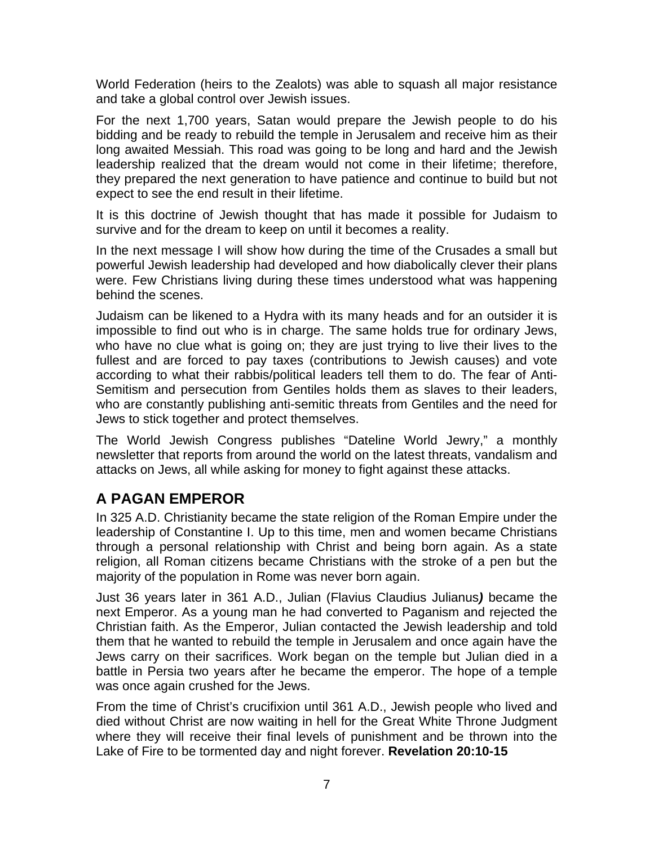World Federation (heirs to the Zealots) was able to squash all major resistance and take a global control over Jewish issues.

For the next 1,700 years, Satan would prepare the Jewish people to do his bidding and be ready to rebuild the temple in Jerusalem and receive him as their long awaited Messiah. This road was going to be long and hard and the Jewish leadership realized that the dream would not come in their lifetime; therefore, they prepared the next generation to have patience and continue to build but not expect to see the end result in their lifetime.

It is this doctrine of Jewish thought that has made it possible for Judaism to survive and for the dream to keep on until it becomes a reality.

In the next message I will show how during the time of the Crusades a small but powerful Jewish leadership had developed and how diabolically clever their plans were. Few Christians living during these times understood what was happening behind the scenes.

Judaism can be likened to a Hydra with its many heads and for an outsider it is impossible to find out who is in charge. The same holds true for ordinary Jews, who have no clue what is going on; they are just trying to live their lives to the fullest and are forced to pay taxes (contributions to Jewish causes) and vote according to what their rabbis/political leaders tell them to do. The fear of Anti-Semitism and persecution from Gentiles holds them as slaves to their leaders, who are constantly publishing anti-semitic threats from Gentiles and the need for Jews to stick together and protect themselves.

The World Jewish Congress publishes "Dateline World Jewry," a monthly newsletter that reports from around the world on the latest threats, vandalism and attacks on Jews, all while asking for money to fight against these attacks.

### **A PAGAN EMPEROR**

In 325 A.D. Christianity became the state religion of the Roman Empire under the leadership of Constantine I. Up to this time, men and women became Christians through a personal relationship with Christ and being born again. As a state religion, all Roman citizens became Christians with the stroke of a pen but the majority of the population in Rome was never born again.

Just 36 years later in 361 A.D., Julian (Flavius Claudius Julianus*)* became the next Emperor. As a young man he had converted to Paganism and rejected the Christian faith. As the Emperor, Julian contacted the Jewish leadership and told them that he wanted to rebuild the temple in Jerusalem and once again have the Jews carry on their sacrifices. Work began on the temple but Julian died in a battle in Persia two years after he became the emperor. The hope of a temple was once again crushed for the Jews.

From the time of Christ's crucifixion until 361 A.D., Jewish people who lived and died without Christ are now waiting in hell for the Great White Throne Judgment where they will receive their final levels of punishment and be thrown into the Lake of Fire to be tormented day and night forever. **Revelation 20:10-15**